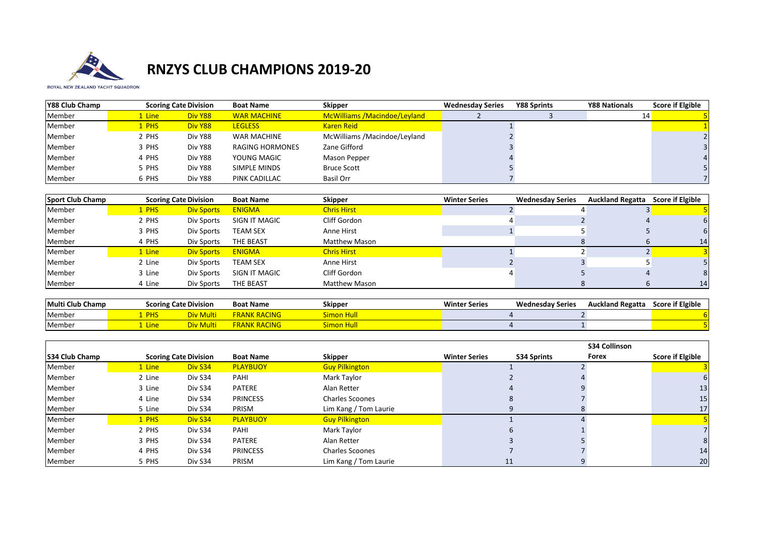

## **RNZYS CLUB CHAMPIONS 2019-20**

ROYAL NEW ZEALAND YACHT SQUADRON

| Y88 Club Champ |            | <b>Scoring Cate Division</b> | <b>Boat Name</b>   | <b>Skipper</b>               | <b>Wednesday Series</b> | <b>Y88 Sprints</b> | <b>Y88 Nationals</b> | <b>Score if Elgible</b> |
|----------------|------------|------------------------------|--------------------|------------------------------|-------------------------|--------------------|----------------------|-------------------------|
| Member         | Line       | Div Y88                      | <b>WAR MACHINE</b> | McWilliams /Macindoe/Leyland |                         |                    | 14 <sub>1</sub>      |                         |
| Member         | <b>PHS</b> | Div Y88                      | <b>LEGLESS</b>     | <b>Karen Reid</b>            |                         |                    |                      |                         |
| Member         | 2 PHS      | Div Y88                      | <b>WAR MACHINE</b> | McWilliams /Macindoe/Leyland |                         |                    |                      |                         |
| Member         | 3 PHS      | Div Y88                      | RAGING HORMONES    | Zane Gifford                 |                         |                    |                      |                         |
| Member         | 4 PHS      | Div Y88                      | YOUNG MAGIC        | <b>Mason Pepper</b>          |                         |                    |                      |                         |
| Member         | 5 PHS      | Div Y88                      | SIMPLE MINDS       | <b>Bruce Scott</b>           |                         |                    |                      |                         |
| Member         | 6 PHS      | Div Y88                      | PINK CADILLAC      | Basil Orr                    |                         |                    |                      |                         |

| Sport Club Champ | <b>Scoring Cate Division</b> |                   | <b>Boat Name</b> | <b>Skipper</b>       | <b>Winter Series</b> | <b>Wednesday Series</b> | <b>Auckland Regatta</b> | <b>Score if Elgible</b> |
|------------------|------------------------------|-------------------|------------------|----------------------|----------------------|-------------------------|-------------------------|-------------------------|
| Member           | 1 PHS                        | <b>Div Sports</b> | <b>ENIGMA</b>    | <b>Chris Hirst</b>   |                      |                         |                         |                         |
| Member           | 2 PHS                        | Div Sports        | SIGN IT MAGIC    | Cliff Gordon         |                      |                         |                         |                         |
| Member           | 3 PHS                        | Div Sports        | <b>TEAM SEX</b>  | Anne Hirst           |                      |                         |                         |                         |
| Member           | 4 PHS                        | Div Sports        | THE BEAST        | <b>Matthew Mason</b> |                      |                         |                         | 14                      |
| Member           | 1 Line                       | <b>Div Sports</b> | <b>ENIGMA</b>    | <b>Chris Hirst</b>   |                      |                         |                         |                         |
| Member           | 2 Line                       | Div Sports        | <b>TEAM SEX</b>  | Anne Hirst           |                      |                         |                         |                         |
| Member           | 3 Line                       | Div Sports        | SIGN IT MAGIC    | Cliff Gordon         |                      |                         |                         |                         |
| Member           | 4 Line                       | Div Sports        | <b>THE BEAST</b> | <b>Matthew Mason</b> |                      |                         |                         | 14                      |

| Multi Club Champ | <b>Scoring Cate Division</b> |  | <b>Boat Name</b> | <b>Skipper</b> | <b>Winter Series</b><br><b>Wednesday Series</b> |  | <b>Auckland Regatta</b> | <b>Score if Elgible</b> |
|------------------|------------------------------|--|------------------|----------------|-------------------------------------------------|--|-------------------------|-------------------------|
| Membe            | PHS                          |  | RACING<br>RANI   |                |                                                 |  |                         |                         |
| Member           | Line                         |  | RACING<br>RANI   | ™mon H⊾        |                                                 |  |                         |                         |

|                        |        |                              |                  |                        |                      |                    | <b>S34 Collinson</b> |                         |
|------------------------|--------|------------------------------|------------------|------------------------|----------------------|--------------------|----------------------|-------------------------|
| <b>IS34 Club Champ</b> |        | <b>Scoring Cate Division</b> | <b>Boat Name</b> | <b>Skipper</b>         | <b>Winter Series</b> | <b>S34 Sprints</b> | Forex                | <b>Score if Elgible</b> |
| Member                 | 1 Line | Div S34                      | <b>PLAYBUOY</b>  | <b>Guy Pilkington</b>  |                      |                    |                      |                         |
| Member                 | 2 Line | Div S34                      | PAHI             | Mark Taylor            |                      |                    |                      |                         |
| Member                 | 3 Line | Div S34                      | <b>PATERE</b>    | Alan Retter            |                      |                    |                      | 13                      |
| Member                 | 4 Line | Div S34                      | <b>PRINCESS</b>  | <b>Charles Scoones</b> |                      |                    |                      | 15                      |
| Member                 | 5 Line | Div S34                      | PRISM            | Lim Kang / Tom Laurie  |                      |                    |                      | 17                      |
| Member                 | 1 PHS  | Div S34                      | <b>PLAYBUOY</b>  | <b>Guy Pilkington</b>  |                      |                    |                      |                         |
| Member                 | 2 PHS  | Div S34                      | PAHI             | Mark Taylor            |                      |                    |                      |                         |
| Member                 | 3 PHS  | Div S34                      | PATERE           | Alan Retter            |                      |                    |                      |                         |
| Member                 | 4 PHS  | Div S34                      | <b>PRINCESS</b>  | <b>Charles Scoones</b> |                      |                    |                      | 14                      |
| Member                 | 5 PHS  | Div S34                      | PRISM            | Lim Kang / Tom Laurie  |                      | 11                 |                      | 20                      |